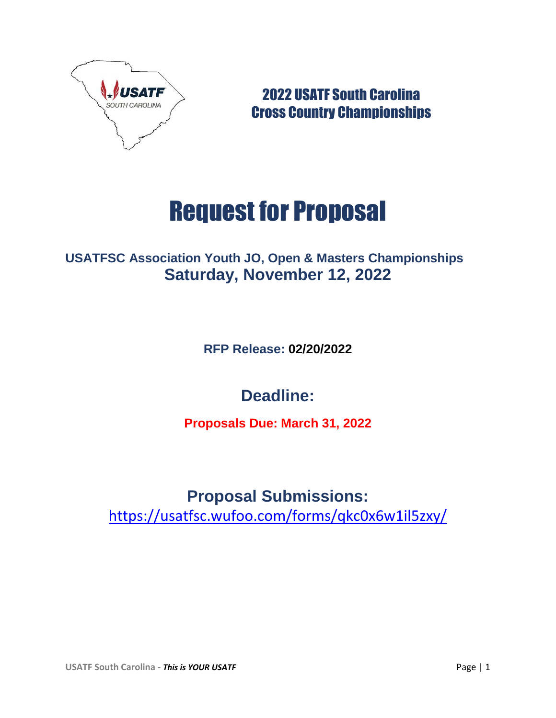

2022 USATF South Carolina Cross Country Championships

# Request for Proposal

## **USATFSC Association Youth JO, Open & Masters Championships Saturday, November 12, 2022**

**RFP Release: 02/20/2022**

# **Deadline:**

**Proposals Due: March 31, 2022**

# **Proposal Submissions:**

<https://usatfsc.wufoo.com/forms/qkc0x6w1il5zxy/>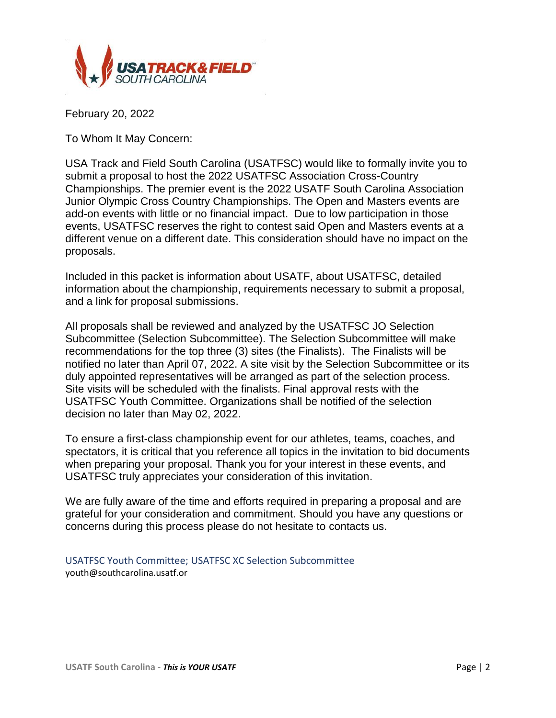

February 20, 2022

To Whom It May Concern:

USA Track and Field South Carolina (USATFSC) would like to formally invite you to submit a proposal to host the 2022 USATFSC Association Cross-Country Championships. The premier event is the 2022 USATF South Carolina Association Junior Olympic Cross Country Championships. The Open and Masters events are add-on events with little or no financial impact. Due to low participation in those events, USATFSC reserves the right to contest said Open and Masters events at a different venue on a different date. This consideration should have no impact on the proposals.

Included in this packet is information about USATF, about USATFSC, detailed information about the championship, requirements necessary to submit a proposal, and a link for proposal submissions.

All proposals shall be reviewed and analyzed by the USATFSC JO Selection Subcommittee (Selection Subcommittee). The Selection Subcommittee will make recommendations for the top three (3) sites (the Finalists). The Finalists will be notified no later than April 07, 2022. A site visit by the Selection Subcommittee or its duly appointed representatives will be arranged as part of the selection process. Site visits will be scheduled with the finalists. Final approval rests with the USATFSC Youth Committee. Organizations shall be notified of the selection decision no later than May 02, 2022.

To ensure a first-class championship event for our athletes, teams, coaches, and spectators, it is critical that you reference all topics in the invitation to bid documents when preparing your proposal. Thank you for your interest in these events, and USATFSC truly appreciates your consideration of this invitation.

We are fully aware of the time and efforts required in preparing a proposal and are grateful for your consideration and commitment. Should you have any questions or concerns during this process please do not hesitate to contacts us.

USATFSC Youth Committee; USATFSC XC Selection Subcommittee youth@southcarolina.usatf.or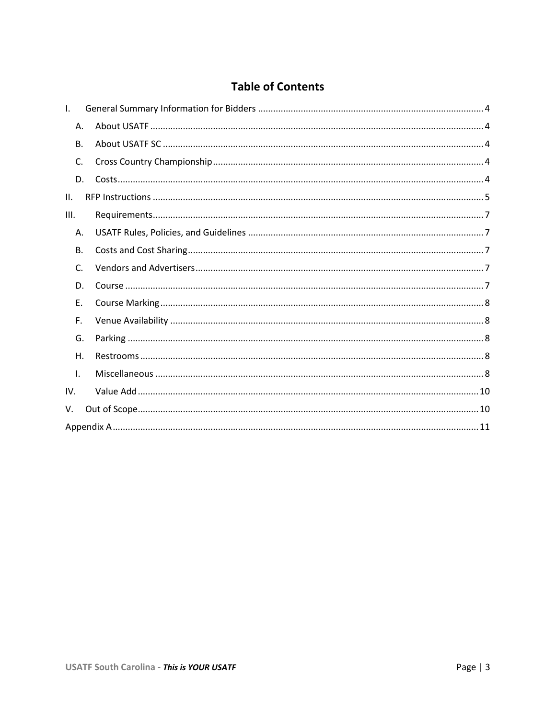#### **Table of Contents**

| $\mathsf{L}$ |  |
|--------------|--|
| Α.           |  |
| <b>B.</b>    |  |
| C.           |  |
| D.           |  |
| II.          |  |
| III.         |  |
| А.           |  |
| В.           |  |
| C.           |  |
| D.           |  |
| Ε.           |  |
| F.           |  |
| G.           |  |
| Η.           |  |
| $\mathsf{L}$ |  |
| IV.          |  |
| V.           |  |
|              |  |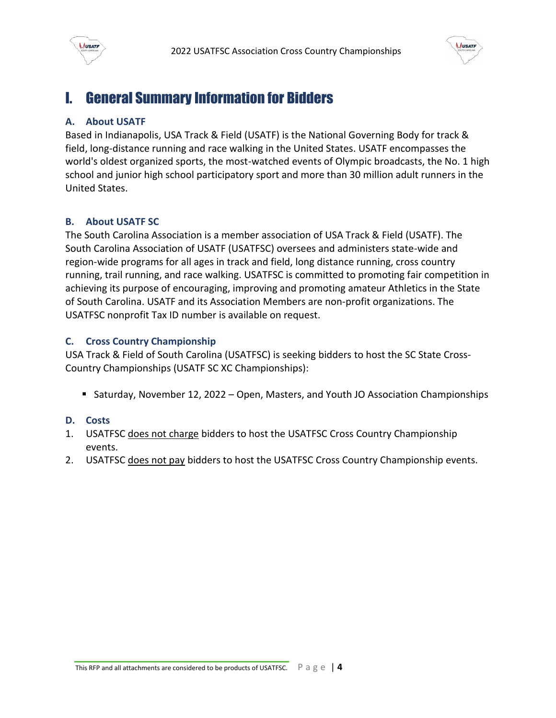



# <span id="page-3-0"></span>I. General Summary Information for Bidders

#### <span id="page-3-1"></span>**A. About USATF**

Based in Indianapolis, USA Track & Field (USATF) is the National Governing Body for track & field, long-distance running and race walking in the United States. USATF encompasses the world's oldest organized sports, the most-watched events of Olympic broadcasts, the No. 1 high school and junior high school participatory sport and more than 30 million adult runners in the United States.

#### <span id="page-3-2"></span>**B. About USATF SC**

The South Carolina Association is a member association of USA Track & Field (USATF). The South Carolina Association of USATF (USATFSC) oversees and administers state-wide and region-wide programs for all ages in track and field, long distance running, cross country running, trail running, and race walking. USATFSC is committed to promoting fair competition in achieving its purpose of encouraging, improving and promoting amateur Athletics in the State of South Carolina. USATF and its Association Members are non-profit organizations. The USATFSC nonprofit Tax ID number is available on request.

#### <span id="page-3-3"></span>**C. Cross Country Championship**

USA Track & Field of South Carolina (USATFSC) is seeking bidders to host the SC State Cross-Country Championships (USATF SC XC Championships):

**Saturday, November 12, 2022 – Open, Masters, and Youth JO Association Championships** 

#### <span id="page-3-4"></span>**D. Costs**

- 1. USATFSC does not charge bidders to host the USATFSC Cross Country Championship events.
- 2. USATFSC does not pay bidders to host the USATFSC Cross Country Championship events.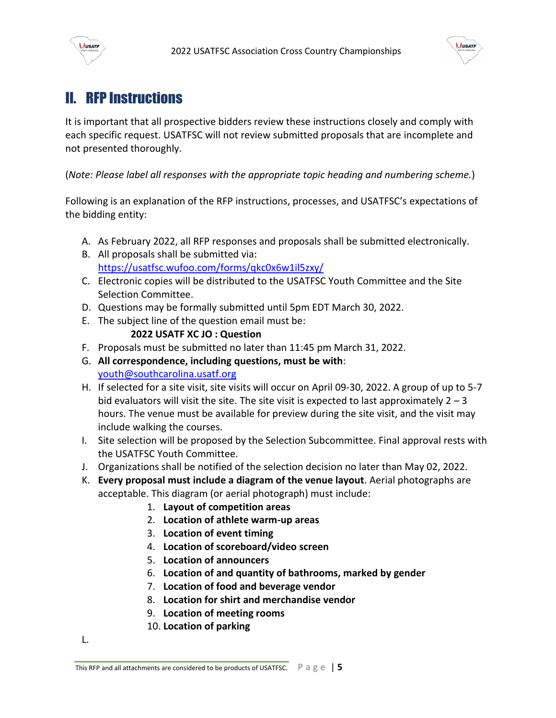



# <span id="page-4-0"></span>II. RFP Instructions

It is important that all prospective bidders review these instructions closely and comply with each specific request. USATFSC will not review submitted proposals that are incomplete and not presented thoroughly.

(*Note: Please label all responses with the appropriate topic heading and numbering scheme.*)

Following is an explanation of the RFP instructions, processes, and USATFSC's expectations of the bidding entity:

- A. As February 2022, all RFP responses and proposals shall be submitted electronically.
- B. All proposals shall be submitted via: <https://usatfsc.wufoo.com/forms/qkc0x6w1il5zxy/>
- C. Electronic copies will be distributed to the USATFSC Youth Committee and the Site Selection Committee.
- D. Questions may be formally submitted until 5pm EDT March 30, 2022.
- E. The subject line of the question email must be:

#### **2022 USATF XC JO : Question**

- F. Proposals must be submitted no later than 11:45 pm March 31, 2022.
- G. **All correspondence, including questions, must be with**: [youth@southcarolina.usatf.org](mailto:youth@southcarolina.usatf.org)
- H. If selected for a site visit, site visits will occur on April 09-30, 2022. A group of up to 5-7 bid evaluators will visit the site. The site visit is expected to last approximately  $2 - 3$ hours. The venue must be available for preview during the site visit, and the visit may include walking the courses.
- I. Site selection will be proposed by the Selection Subcommittee. Final approval rests with the USATFSC Youth Committee.
- J. Organizations shall be notified of the selection decision no later than May 02, 2022.
- K. **Every proposal must include a diagram of the venue layout**. Aerial photographs are acceptable. This diagram (or aerial photograph) must include:
	- 1. **Layout of competition areas**
	- 2. **Location of athlete warm-up areas**
	- 3. **Location of event timing**
	- 4. **Location of scoreboard/video screen**
	- 5. **Location of announcers**
	- 6. **Location of and quantity of bathrooms, marked by gender**
	- 7. **Location of food and beverage vendor**
	- 8. **Location for shirt and merchandise vendor**
	- 9. **Location of meeting rooms**
	- 10. **Location of parking**

L.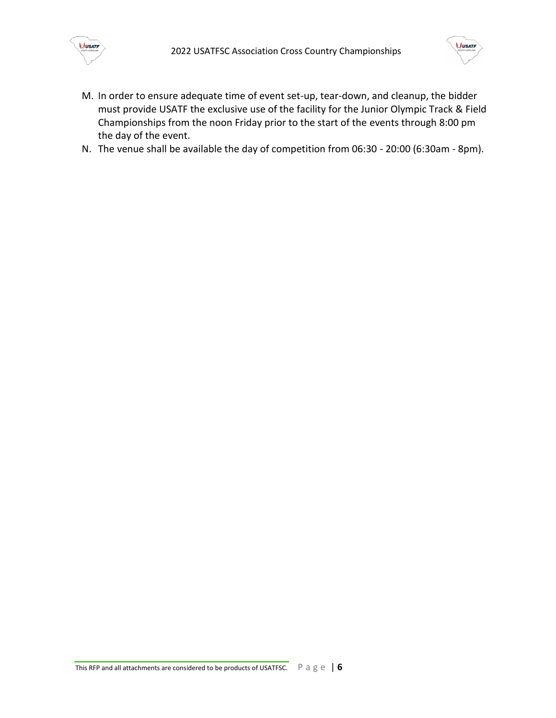



- M. In order to ensure adequate time of event set-up, tear-down, and cleanup, the bidder must provide USATF the exclusive use of the facility for the Junior Olympic Track & Field Championships from the noon Friday prior to the start of the events through 8:00 pm the day of the event.
- N. The venue shall be available the day of competition from 06:30 20:00 (6:30am 8pm).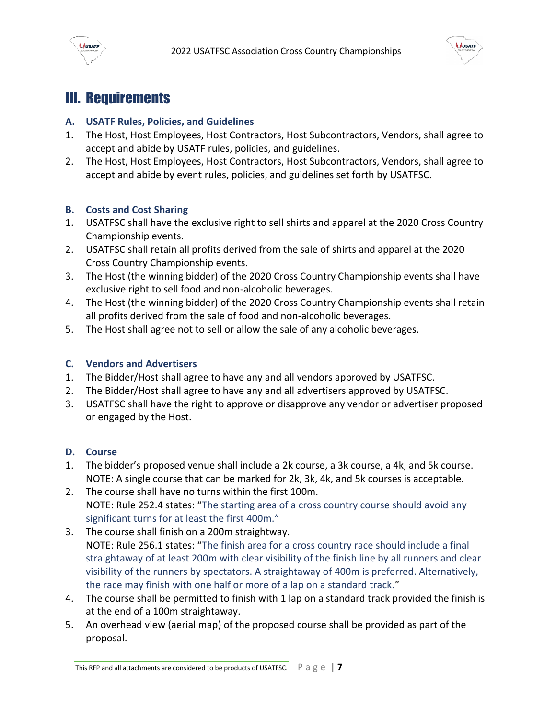



## <span id="page-6-0"></span>III. Requirements

#### <span id="page-6-1"></span>**A. USATF Rules, Policies, and Guidelines**

- 1. The Host, Host Employees, Host Contractors, Host Subcontractors, Vendors, shall agree to accept and abide by USATF rules, policies, and guidelines.
- 2. The Host, Host Employees, Host Contractors, Host Subcontractors, Vendors, shall agree to accept and abide by event rules, policies, and guidelines set forth by USATFSC.

#### <span id="page-6-2"></span>**B. Costs and Cost Sharing**

- 1. USATFSC shall have the exclusive right to sell shirts and apparel at the 2020 Cross Country Championship events.
- 2. USATFSC shall retain all profits derived from the sale of shirts and apparel at the 2020 Cross Country Championship events.
- 3. The Host (the winning bidder) of the 2020 Cross Country Championship events shall have exclusive right to sell food and non-alcoholic beverages.
- 4. The Host (the winning bidder) of the 2020 Cross Country Championship events shall retain all profits derived from the sale of food and non-alcoholic beverages.
- 5. The Host shall agree not to sell or allow the sale of any alcoholic beverages.

#### <span id="page-6-3"></span>**C. Vendors and Advertisers**

- 1. The Bidder/Host shall agree to have any and all vendors approved by USATFSC.
- 2. The Bidder/Host shall agree to have any and all advertisers approved by USATFSC.
- 3. USATFSC shall have the right to approve or disapprove any vendor or advertiser proposed or engaged by the Host.

#### <span id="page-6-4"></span>**D. Course**

- 1. The bidder's proposed venue shall include a 2k course, a 3k course, a 4k, and 5k course. NOTE: A single course that can be marked for 2k, 3k, 4k, and 5k courses is acceptable.
- 2. The course shall have no turns within the first 100m. NOTE: Rule 252.4 states: "The starting area of a cross country course should avoid any significant turns for at least the first 400m."
- 3. The course shall finish on a 200m straightway. NOTE: Rule 256.1 states: "The finish area for a cross country race should include a final straightaway of at least 200m with clear visibility of the finish line by all runners and clear visibility of the runners by spectators. A straightaway of 400m is preferred. Alternatively, the race may finish with one half or more of a lap on a standard track."
- 4. The course shall be permitted to finish with 1 lap on a standard track provided the finish is at the end of a 100m straightaway.
- 5. An overhead view (aerial map) of the proposed course shall be provided as part of the proposal.

This RFP and all attachments are considered to be products of USATFSC.  $\Box$   $\Box$   $\Box$   $\Box$   $\Box$   $\Box$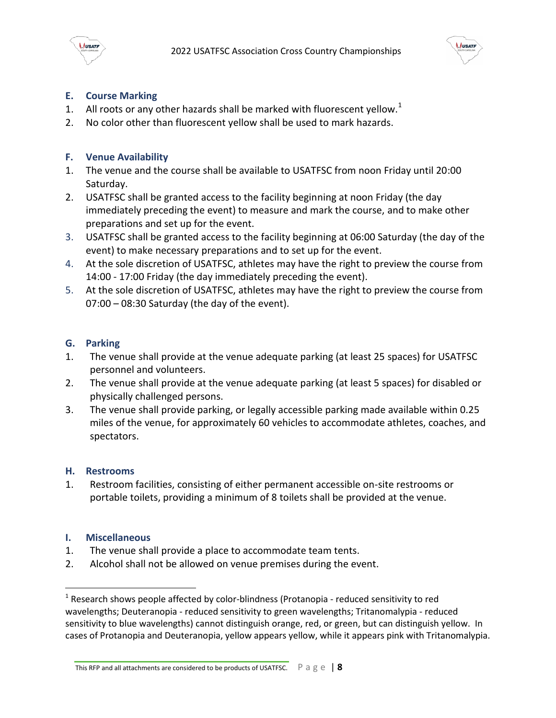



#### <span id="page-7-0"></span>**E. Course Marking**

- 1. All roots or any other hazards shall be marked with fluorescent yellow.<sup>1</sup>
- 2. No color other than fluorescent yellow shall be used to mark hazards.

#### <span id="page-7-1"></span>**F. Venue Availability**

- 1. The venue and the course shall be available to USATFSC from noon Friday until 20:00 Saturday.
- 2. USATFSC shall be granted access to the facility beginning at noon Friday (the day immediately preceding the event) to measure and mark the course, and to make other preparations and set up for the event.
- 3. USATFSC shall be granted access to the facility beginning at 06:00 Saturday (the day of the event) to make necessary preparations and to set up for the event.
- 4. At the sole discretion of USATFSC, athletes may have the right to preview the course from 14:00 - 17:00 Friday (the day immediately preceding the event).
- 5. At the sole discretion of USATFSC, athletes may have the right to preview the course from 07:00 – 08:30 Saturday (the day of the event).

#### <span id="page-7-2"></span>**G. Parking**

- 1. The venue shall provide at the venue adequate parking (at least 25 spaces) for USATFSC personnel and volunteers.
- 2. The venue shall provide at the venue adequate parking (at least 5 spaces) for disabled or physically challenged persons.
- 3. The venue shall provide parking, or legally accessible parking made available within 0.25 miles of the venue, for approximately 60 vehicles to accommodate athletes, coaches, and spectators.

#### <span id="page-7-3"></span>**H. Restrooms**

1. Restroom facilities, consisting of either permanent accessible on-site restrooms or portable toilets, providing a minimum of 8 toilets shall be provided at the venue.

#### <span id="page-7-4"></span>**I. Miscellaneous**

 $\overline{\phantom{a}}$ 

- 1. The venue shall provide a place to accommodate team tents.
- 2. Alcohol shall not be allowed on venue premises during the event.

This RFP and all attachments are considered to be products of USATFSC.  $\Box$   $\Box$   $\Box$   $\Box$   $\Box$   $\Box$  **8** 

 $<sup>1</sup>$  Research shows people affected by color-blindness (Protanopia - reduced sensitivity to red</sup> wavelengths; Deuteranopia - reduced sensitivity to green wavelengths; Tritanomalypia - reduced sensitivity to blue wavelengths) cannot distinguish orange, red, or green, but can distinguish yellow. In cases of Protanopia and Deuteranopia, yellow appears yellow, while it appears pink with Tritanomalypia.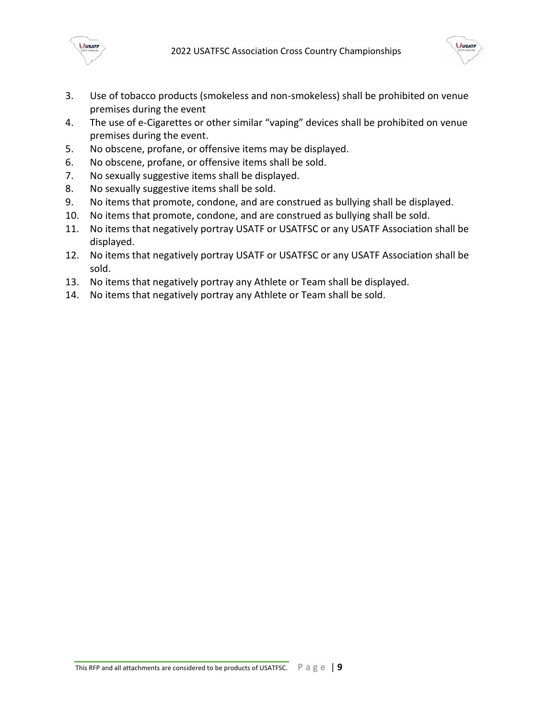



- 3. Use of tobacco products (smokeless and non-smokeless) shall be prohibited on venue premises during the event
- 4. The use of e-Cigarettes or other similar "vaping" devices shall be prohibited on venue premises during the event.
- 5. No obscene, profane, or offensive items may be displayed.
- 6. No obscene, profane, or offensive items shall be sold.
- 7. No sexually suggestive items shall be displayed.
- 8. No sexually suggestive items shall be sold.
- 9. No items that promote, condone, and are construed as bullying shall be displayed.
- 10. No items that promote, condone, and are construed as bullying shall be sold.
- 11. No items that negatively portray USATF or USATFSC or any USATF Association shall be displayed.
- 12. No items that negatively portray USATF or USATFSC or any USATF Association shall be sold.
- 13. No items that negatively portray any Athlete or Team shall be displayed.
- 14. No items that negatively portray any Athlete or Team shall be sold.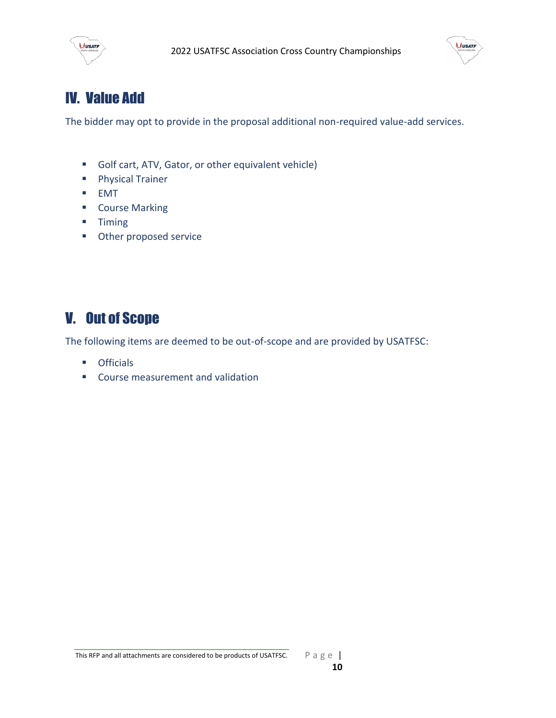



# <span id="page-9-0"></span>IV. Value Add

The bidder may opt to provide in the proposal additional non-required value-add services.

- Golf cart, ATV, Gator, or other equivalent vehicle)
- **Physical Trainer**
- EMT
- **E** Course Marking
- **Timing**
- **C**ther proposed service

# <span id="page-9-1"></span>V. Out of Scope

The following items are deemed to be out-of-scope and are provided by USATFSC:

- **•** Officials
- **EXECOURSE MEASUREMENT And validation**

This RFP and all attachments are considered to be products of USATFSC.  $\Box$   $\Box$   $\Box$   $\Box$   $\Box$   $\Box$   $\Box$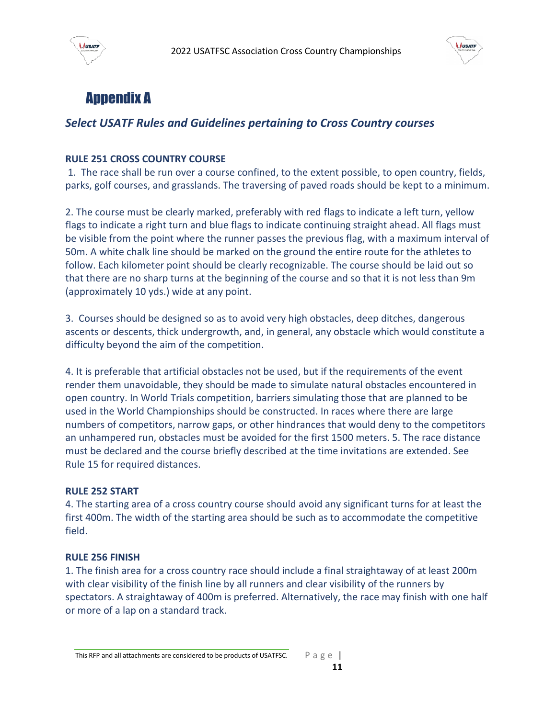



# <span id="page-10-0"></span>Appendix A

#### *Select USATF Rules and Guidelines pertaining to Cross Country courses*

#### **RULE 251 CROSS COUNTRY COURSE**

1. The race shall be run over a course confined, to the extent possible, to open country, fields, parks, golf courses, and grasslands. The traversing of paved roads should be kept to a minimum.

2. The course must be clearly marked, preferably with red flags to indicate a left turn, yellow flags to indicate a right turn and blue flags to indicate continuing straight ahead. All flags must be visible from the point where the runner passes the previous flag, with a maximum interval of 50m. A white chalk line should be marked on the ground the entire route for the athletes to follow. Each kilometer point should be clearly recognizable. The course should be laid out so that there are no sharp turns at the beginning of the course and so that it is not less than 9m (approximately 10 yds.) wide at any point.

3. Courses should be designed so as to avoid very high obstacles, deep ditches, dangerous ascents or descents, thick undergrowth, and, in general, any obstacle which would constitute a difficulty beyond the aim of the competition.

4. It is preferable that artificial obstacles not be used, but if the requirements of the event render them unavoidable, they should be made to simulate natural obstacles encountered in open country. In World Trials competition, barriers simulating those that are planned to be used in the World Championships should be constructed. In races where there are large numbers of competitors, narrow gaps, or other hindrances that would deny to the competitors an unhampered run, obstacles must be avoided for the first 1500 meters. 5. The race distance must be declared and the course briefly described at the time invitations are extended. See Rule 15 for required distances.

#### **RULE 252 START**

4. The starting area of a cross country course should avoid any significant turns for at least the first 400m. The width of the starting area should be such as to accommodate the competitive field.

#### **RULE 256 FINISH**

1. The finish area for a cross country race should include a final straightaway of at least 200m with clear visibility of the finish line by all runners and clear visibility of the runners by spectators. A straightaway of 400m is preferred. Alternatively, the race may finish with one half or more of a lap on a standard track.